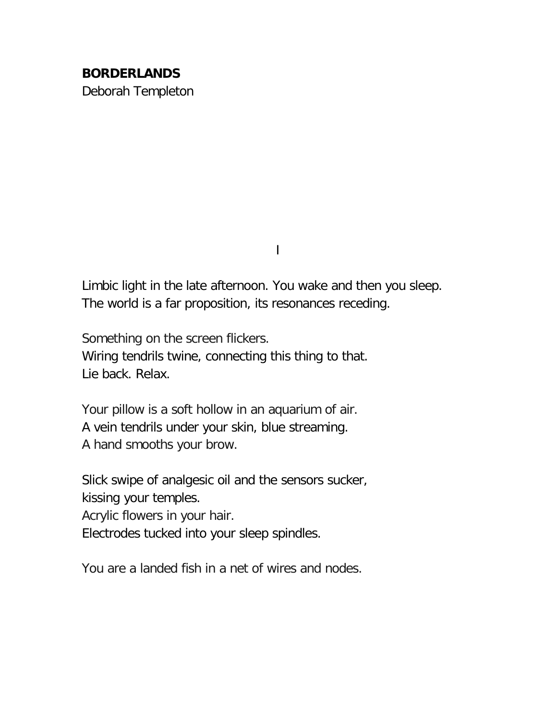## **BORDERLANDS** Deborah Templeton

I

Limbic light in the late afternoon. You wake and then you sleep. The world is a far proposition, its resonances receding.

Something on the screen flickers. Wiring tendrils twine, connecting this thing to that. Lie back. Relax.

Your pillow is a soft hollow in an aquarium of air. A vein tendrils under your skin, blue streaming. A hand smooths your brow.

Slick swipe of analgesic oil and the sensors sucker, kissing your temples. Acrylic flowers in your hair. Electrodes tucked into your sleep spindles.

You are a landed fish in a net of wires and nodes.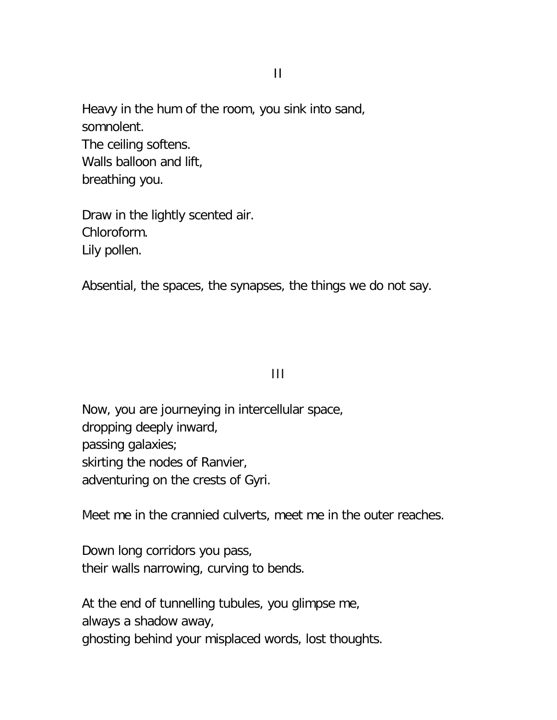Heavy in the hum of the room, you sink into sand, somnolent. The ceiling softens. Walls balloon and lift, breathing you.

Draw in the lightly scented air. Chloroform. Lily pollen.

Absential, the spaces, the synapses, the things we do not say.

## III

Now, you are journeying in intercellular space, dropping deeply inward, passing galaxies; skirting the nodes of Ranvier, adventuring on the crests of Gyri.

Meet me in the crannied culverts, meet me in the outer reaches.

Down long corridors you pass, their walls narrowing, curving to bends.

At the end of tunnelling tubules, you glimpse me, always a shadow away, ghosting behind your misplaced words, lost thoughts.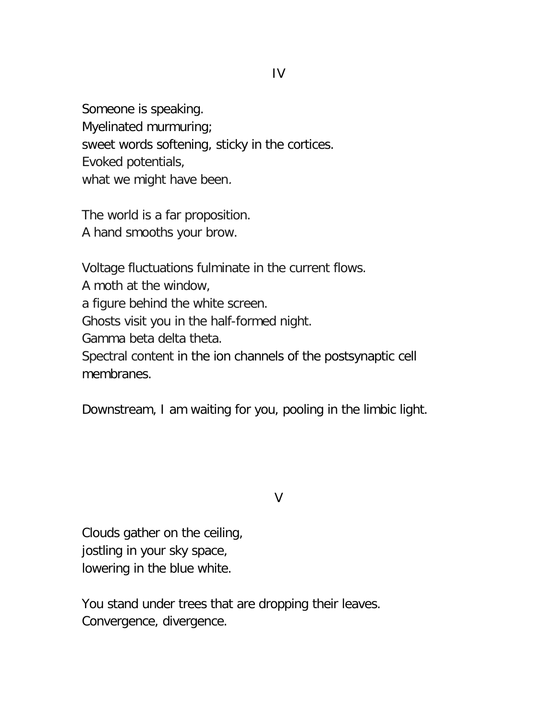Someone is speaking. Myelinated murmuring; sweet words softening, sticky in the cortices. Evoked potentials, what we might have been.

The world is a far proposition. A hand smooths your brow.

Voltage fluctuations fulminate in the current flows. A moth at the window, a figure behind the white screen. Ghosts visit you in the half-formed night. Gamma beta delta theta. Spectral content in the ion channels of the postsynaptic cell membranes.

Downstream, I am waiting for you, pooling in the limbic light.

V

Clouds gather on the ceiling, jostling in your sky space, lowering in the blue white.

You stand under trees that are dropping their leaves. Convergence, divergence.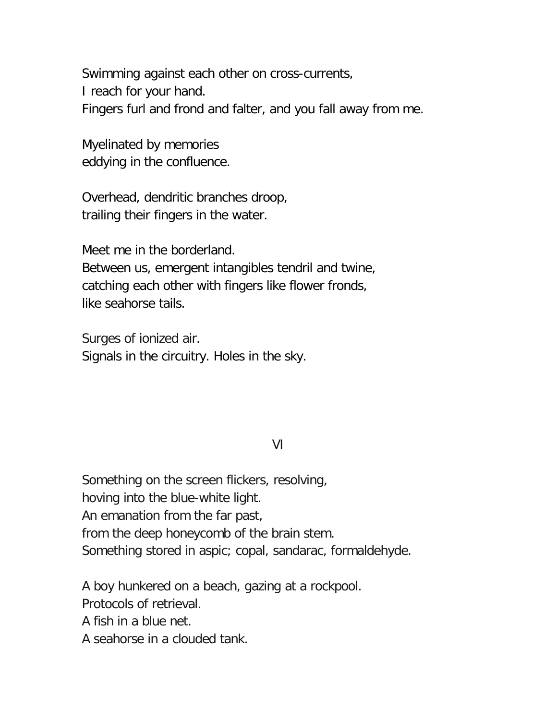Swimming against each other on cross-currents, I reach for your hand. Fingers furl and frond and falter, and you fall away from me.

Myelinated by memories eddying in the confluence.

Overhead, dendritic branches droop, trailing their fingers in the water.

Meet me in the borderland.

Between us, emergent intangibles tendril and twine, catching each other with fingers like flower fronds, like seahorse tails.

Surges of ionized air. Signals in the circuitry. Holes in the sky.

## VI

Something on the screen flickers, resolving, hoving into the blue-white light. An emanation from the far past, from the deep honeycomb of the brain stem. Something stored in aspic; copal, sandarac, formaldehyde.

A boy hunkered on a beach, gazing at a rockpool.

Protocols of retrieval.

A fish in a blue net.

A seahorse in a clouded tank.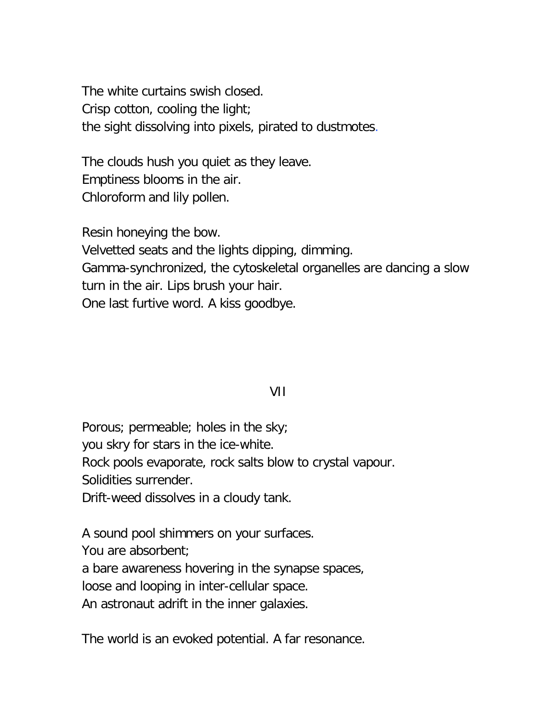The white curtains swish closed. Crisp cotton, cooling the light; the sight dissolving into pixels, pirated to dustmotes.

The clouds hush you quiet as they leave. Emptiness blooms in the air. Chloroform and lily pollen.

Resin honeying the bow. Velvetted seats and the lights dipping, dimming. Gamma-synchronized, the cytoskeletal organelles are dancing a slow turn in the air. Lips brush your hair. One last furtive word. A kiss goodbye.

## VII

Porous; permeable; holes in the sky; you skry for stars in the ice-white. Rock pools evaporate, rock salts blow to crystal vapour. Solidities surrender. Drift-weed dissolves in a cloudy tank.

A sound pool shimmers on your surfaces.

You are absorbent;

a bare awareness hovering in the synapse spaces,

loose and looping in inter-cellular space.

An astronaut adrift in the inner galaxies.

The world is an evoked potential. A far resonance.